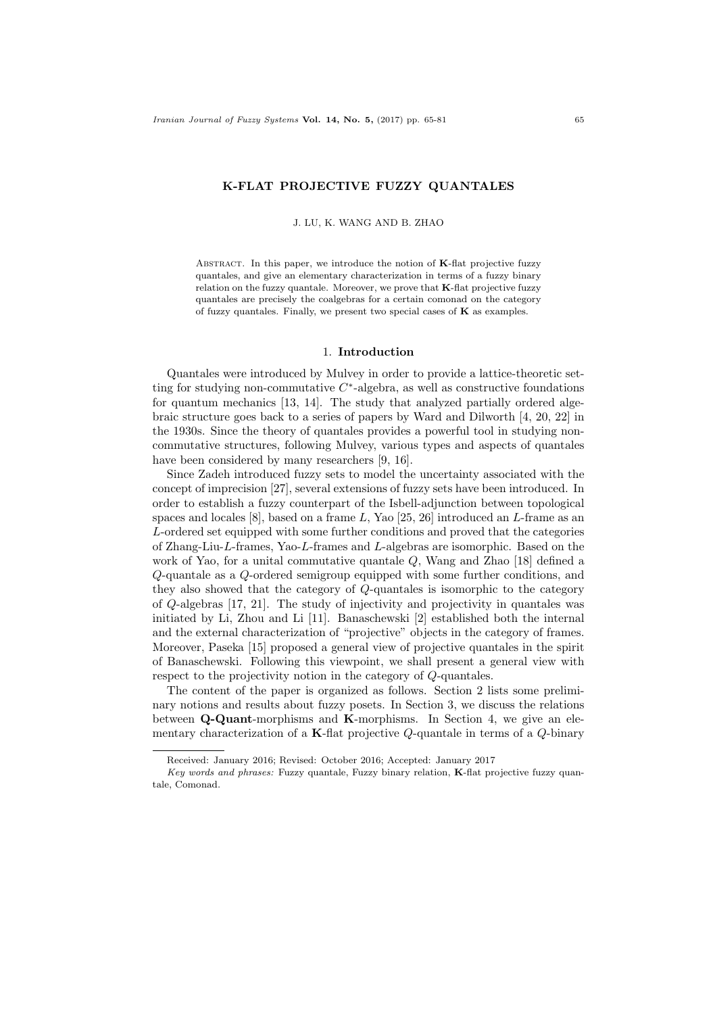### K-FLAT PROJECTIVE FUZZY QUANTALES

J. LU, K. WANG AND B. ZHAO

ABSTRACT. In this paper, we introduce the notion of  $K$ -flat projective fuzzy quantales, and give an elementary characterization in terms of a fuzzy binary relation on the fuzzy quantale. Moreover, we prove that K-flat projective fuzzy quantales are precisely the coalgebras for a certain comonad on the category of fuzzy quantales. Finally, we present two special cases of  $K$  as examples.

# 1. Introduction

Quantales were introduced by Mulvey in order to provide a lattice-theoretic setting for studying non-commutative  $C^*$ -algebra, as well as constructive foundations for quantum mechanics [13, 14]. The study that analyzed partially ordered algebraic structure goes back to a series of papers by Ward and Dilworth [4, 20, 22] in the 1930s. Since the theory of quantales provides a powerful tool in studying noncommutative structures, following Mulvey, various types and aspects of quantales have been considered by many researchers [9, 16].

Since Zadeh introduced fuzzy sets to model the uncertainty associated with the concept of imprecision [27], several extensions of fuzzy sets have been introduced. In order to establish a fuzzy counterpart of the Isbell-adjunction between topological spaces and locales  $[8]$ , based on a frame L, Yao  $[25, 26]$  introduced an L-frame as an L-ordered set equipped with some further conditions and proved that the categories of Zhang-Liu-L-frames, Yao-L-frames and L-algebras are isomorphic. Based on the work of Yao, for a unital commutative quantale Q, Wang and Zhao [18] defined a Q-quantale as a Q-ordered semigroup equipped with some further conditions, and they also showed that the category of Q-quantales is isomorphic to the category of Q-algebras [17, 21]. The study of injectivity and projectivity in quantales was initiated by Li, Zhou and Li [11]. Banaschewski [2] established both the internal and the external characterization of "projective" objects in the category of frames. Moreover, Paseka [15] proposed a general view of projective quantales in the spirit of Banaschewski. Following this viewpoint, we shall present a general view with respect to the projectivity notion in the category of Q-quantales.

The content of the paper is organized as follows. Section 2 lists some preliminary notions and results about fuzzy posets. In Section 3, we discuss the relations between Q-Quant-morphisms and K-morphisms. In Section 4, we give an elementary characterization of a K-flat projective  $Q$ -quantale in terms of a  $Q$ -binary

Received: January 2016; Revised: October 2016; Accepted: January 2017

Key words and phrases: Fuzzy quantale, Fuzzy binary relation, K-flat projective fuzzy quantale, Comonad.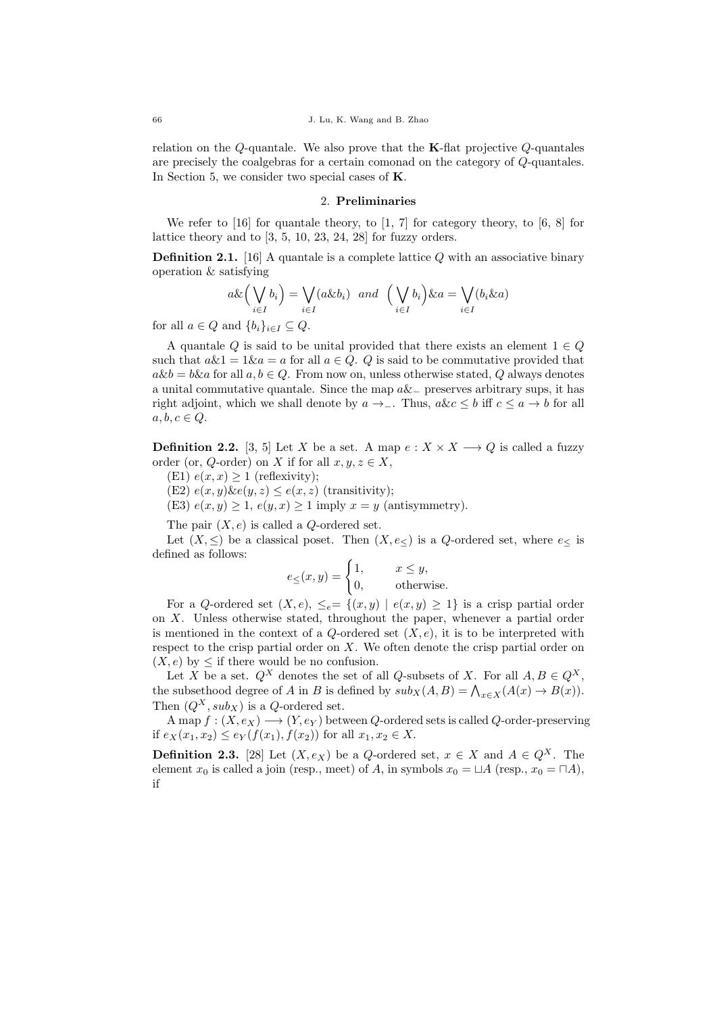relation on the  $Q$ -quantale. We also prove that the **K**-flat projective  $Q$ -quantales are precisely the coalgebras for a certain comonad on the category of Q-quantales. In Section 5, we consider two special cases of K.

#### 2. Preliminaries

We refer to [16] for quantale theory, to [1, 7] for category theory, to [6, 8] for lattice theory and to [3, 5, 10, 23, 24, 28] for fuzzy orders.

**Definition 2.1.** [16] A quantale is a complete lattice  $Q$  with an associative binary operation & satisfying

$$
a\&\left(\bigvee_{i\in I}b_i\right)=\bigvee_{i\in I}(a\&b_i)\ \ and\ \ \left(\bigvee_{i\in I}b_i\right)\&a=\bigvee_{i\in I}(b_i\&a)
$$

for all  $a \in Q$  and  $\{b_i\}_{i \in I} \subseteq Q$ .

A quantale Q is said to be unital provided that there exists an element  $1 \in Q$ such that  $a\&1 = 1\&a = a$  for all  $a \in Q$ . Q is said to be commutative provided that  $a\&b = b\&a$  for all  $a, b \in Q$ . From now on, unless otherwise stated, Q always denotes a unital commutative quantale. Since the map  $a\&_$  preserves arbitrary sups, it has right adjoint, which we shall denote by  $a \rightarrow \_$ . Thus,  $akc \leq b$  iff  $c \leq a \rightarrow b$  for all  $a, b, c \in Q$ .

**Definition 2.2.** [3, 5] Let X be a set. A map  $e: X \times X \longrightarrow Q$  is called a fuzzy order (or, Q-order) on X if for all  $x, y, z \in X$ ,

- (E1)  $e(x, x) \ge 1$  (reflexivity);
- (E2)  $e(x, y)$  &  $e(y, z) \leq e(x, z)$  (transitivity);

(E3)  $e(x, y) \ge 1$ ,  $e(y, x) \ge 1$  imply  $x = y$  (antisymmetry).

The pair  $(X, e)$  is called a Q-ordered set.

Let  $(X, \leq)$  be a classical poset. Then  $(X, e_{\leq})$  is a Q-ordered set, where  $e_{\leq}$  is defined as follows:

$$
e_{\le}(x, y) = \begin{cases} 1, & x \le y, \\ 0, & \text{otherwise.} \end{cases}
$$

For a Q-ordered set  $(X, e)$ ,  $\leq_e = \{(x, y) \mid e(x, y) > 1\}$  is a crisp partial order on X. Unless otherwise stated, throughout the paper, whenever a partial order is mentioned in the context of a  $Q$ -ordered set  $(X, e)$ , it is to be interpreted with respect to the crisp partial order on  $X$ . We often denote the crisp partial order on  $(X, e)$  by  $\leq$  if there would be no confusion.

Let X be a set.  $Q^X$  denotes the set of all Q-subsets of X. For all  $A, B \in Q^X$ , the subsethood degree of A in B is defined by  $sub_X(A, B) = \bigwedge_{x \in X} (A(x) \to B(x)).$ Then  $(Q^X, sub_X)$  is a Q-ordered set.

A map  $f: (X, e_X) \longrightarrow (Y, e_Y)$  between Q-ordered sets is called Q-order-preserving if  $e_X(x_1, x_2) \leq e_Y(f(x_1), f(x_2))$  for all  $x_1, x_2 \in X$ .

**Definition 2.3.** [28] Let  $(X, e_X)$  be a Q-ordered set,  $x \in X$  and  $A \in Q^X$ . The element  $x_0$  is called a join (resp., meet) of A, in symbols  $x_0 = \sqcup A$  (resp.,  $x_0 = \sqcap A$ ), if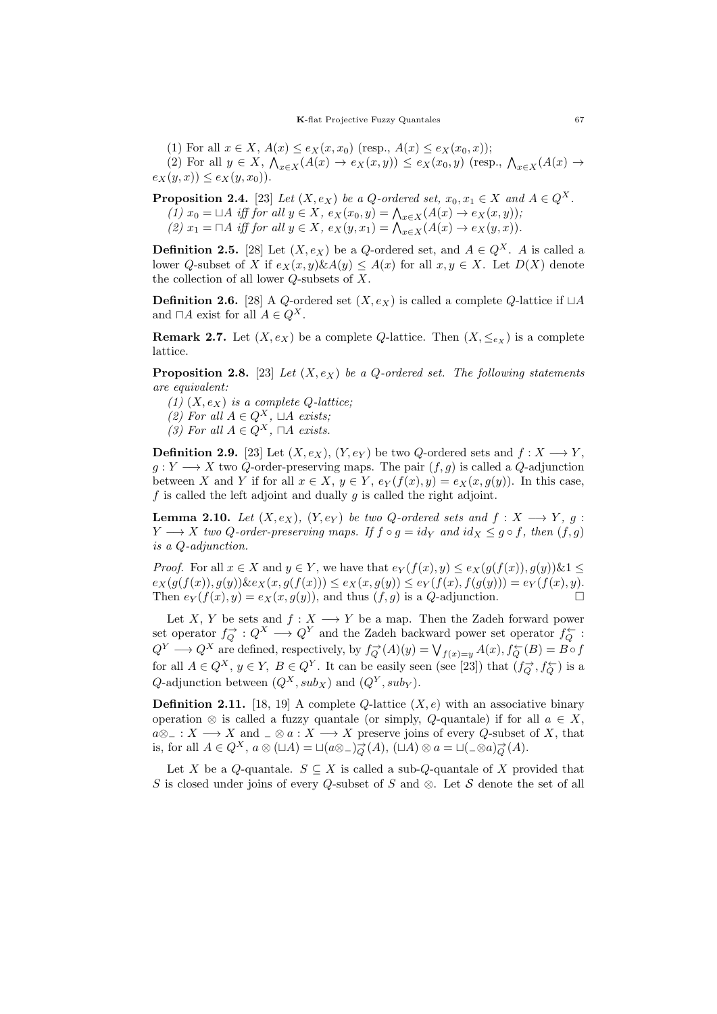(1) For all  $x \in X$ ,  $A(x) \le e_X(x, x_0)$  (resp.,  $A(x) \le e_X(x_0, x)$ );

(2) For all  $y \in X$ ,  $\bigwedge_{x \in X} (A(x) \to e_X(x, y)) \le e_X(x_0, y)$  (resp.,  $\bigwedge_{x \in X} (A(x) \to e_X(x, y))$  $e_X(y, x) \le e_X(y, x_0)$ .

**Proposition 2.4.** [23] Let  $(X, e_X)$  be a Q-ordered set,  $x_0, x_1 \in X$  and  $A \in Q^X$ . (1)  $x_0 = \Box A$  iff for all  $y \in X$ ,  $e_X(x_0, y) = \bigwedge_{x \in X}(A(x) \to e_X(x, y));$ (2)  $x_1 = \Box A$  iff for all  $y \in X$ ,  $e_X(y, x_1) = \bigwedge_{x \in X} (A(x) \to e_X(y, x)).$ 

**Definition 2.5.** [28] Let  $(X, e_X)$  be a Q-ordered set, and  $A \in Q^X$ . A is called a lower Q-subset of X if  $e_X(x, y) \& A(y) \leq A(x)$  for all  $x, y \in X$ . Let  $D(X)$  denote the collection of all lower Q-subsets of X.

**Definition 2.6.** [28] A Q-ordered set  $(X, e_X)$  is called a complete Q-lattice if  $\Box A$ and  $\Box A$  exist for all  $A \in Q^X$ .

**Remark 2.7.** Let  $(X, e_X)$  be a complete Q-lattice. Then  $(X, \leq_{e_X})$  is a complete lattice.

**Proposition 2.8.** [23] Let  $(X, e_X)$  be a Q-ordered set. The following statements are equivalent:

(1)  $(X, e_X)$  is a complete Q-lattice:

(2) For all  $A \in Q^X$ ,  $\sqcup A$  exists;

(3) For all  $A \in Q^X$ ,  $\Box A$  exists.

**Definition 2.9.** [23] Let  $(X, e_X)$ ,  $(Y, e_Y)$  be two Q-ordered sets and  $f: X \longrightarrow Y$ ,  $g: Y \longrightarrow X$  two Q-order-preserving maps. The pair  $(f, g)$  is called a Q-adjunction between X and Y if for all  $x \in X$ ,  $y \in Y$ ,  $e_Y(f(x), y) = e_X(x, q(y))$ . In this case, f is called the left adjoint and dually  $g$  is called the right adjoint.

**Lemma 2.10.** Let  $(X, e_X)$ ,  $(Y, e_Y)$  be two Q-ordered sets and  $f: X \longrightarrow Y$ , q:  $Y \longrightarrow X$  two Q-order-preserving maps. If  $f \circ g = id_Y$  and  $id_X \leq g \circ f$ , then  $(f, g)$ is a Q-adjunction.

*Proof.* For all  $x \in X$  and  $y \in Y$ , we have that  $e_Y(f(x), y) \le e_X(g(f(x)), g(y)) \& 1 \le$  $e_X(g(f(x)), g(y))$   $\&e_X(x, g(f(x))) \leq e_X(x, g(y)) \leq e_Y(f(x), f(g(y))) = e_Y(f(x), y).$ Then  $e_Y(f(x), y) = e_X(x, g(y))$ , and thus  $(f, g)$  is a Q-adjunction.

Let X, Y be sets and  $f: X \longrightarrow Y$  be a map. Then the Zadeh forward power set operator  $f_Q^{\rightarrow} : Q^X \longrightarrow Q^Y$  and the Zadeh backward power set operator  $f_Q^{\leftarrow}$ :  $Q^Y \longrightarrow Q^X$  are defined, respectively, by  $f_Q^{\rightarrow}(A)(y) = \bigvee_{f(x)=y} A(x), f_Q^{\leftarrow}(B) = B \circ f$ for all  $A \in Q^X$ ,  $y \in Y$ ,  $B \in Q^Y$ . It can be easily seen (see [23]) that  $(f_Q^{\rightarrow}, f_Q^{\leftarrow})$  is a Q-adjunction between  $(Q^X, sub_X)$  and  $(Q^Y, sub_Y)$ .

**Definition 2.11.** [18, 19] A complete Q-lattice  $(X, e)$  with an associative binary operation ⊗ is called a fuzzy quantale (or simply, Q-quantale) if for all  $a \in X$ ,  $a\otimes$ <sub>−</sub> : X → X and  $\Box \otimes a : X \longrightarrow X$  preserve joins of every Q-subset of X, that is, for all  $A \in Q^X$ ,  $a \otimes (\sqcup A) = \sqcup (a \otimes_{-})_{Q}^{\rightarrow}(A)$ ,  $(\sqcup A) \otimes a = \sqcup_{-}^{\infty} \otimes a)_{Q}^{\rightarrow}(A)$ .

Let X be a Q-quantale.  $S \subseteq X$  is called a sub-Q-quantale of X provided that S is closed under joins of every Q-subset of S and ⊗. Let S denote the set of all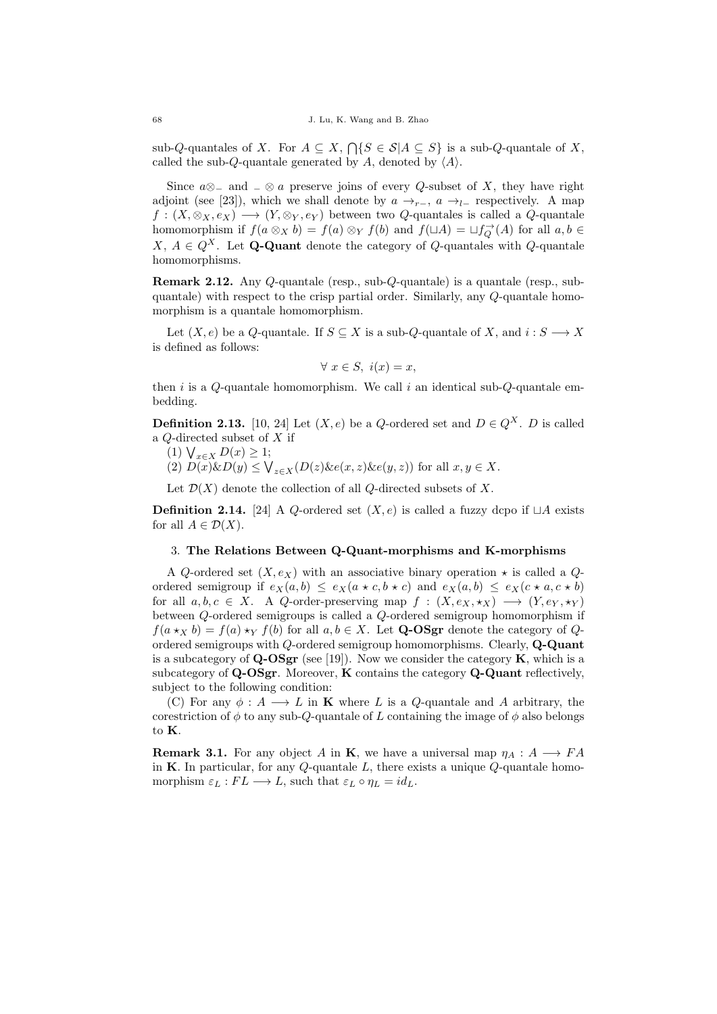sub-Q-quantales of X. For  $A \subseteq X$ ,  $\bigcap \{S \in \mathcal{S} | A \subseteq S\}$  is a sub-Q-quantale of X, called the sub-Q-quantale generated by A, denoted by  $\langle A \rangle$ .

Since  $a\otimes_-\text{ and } \underline{\ } \otimes a$  preserve joins of every Q-subset of X, they have right adjoint (see [23]), which we shall denote by  $a \rightarrow_{r-}$ ,  $a \rightarrow_{l-}$  respectively. A map  $f: (X, \otimes_X, e_X) \longrightarrow (Y, \otimes_Y, e_Y)$  between two Q-quantales is called a Q-quantale homomorphism if  $f(a \otimes_X b) = f(a) \otimes_Y f(b)$  and  $f(\sqcup A) = \sqcup f_Q^{\rightarrow}(A)$  for all  $a, b \in$ X,  $A \in Q^X$ . Let **Q-Quant** denote the category of *Q*-quantales with *Q*-quantale homomorphisms.

Remark 2.12. Any Q-quantale (resp., sub-Q-quantale) is a quantale (resp., subquantale) with respect to the crisp partial order. Similarly, any Q-quantale homomorphism is a quantale homomorphism.

Let  $(X, e)$  be a Q-quantale. If  $S \subseteq X$  is a sub-Q-quantale of X, and  $i: S \longrightarrow X$ is defined as follows:

$$
\forall x \in S, i(x) = x,
$$

then  $i$  is a  $Q$ -quantale homomorphism. We call  $i$  an identical sub- $Q$ -quantale embedding.

**Definition 2.13.** [10, 24] Let  $(X, e)$  be a Q-ordered set and  $D \in Q^X$ . D is called a Q-directed subset of X if

- (1)  $\bigvee_{x \in X} D(x) \geq 1;$
- (2)  $D(x) \& D(y) \leq \bigvee_{z \in X} (D(z) \& e(x, z) \& e(y, z))$  for all  $x, y \in X$ .

Let  $\mathcal{D}(X)$  denote the collection of all Q-directed subsets of X.

**Definition 2.14.** [24] A Q-ordered set  $(X, e)$  is called a fuzzy dcpo if  $\Box A$  exists for all  $A \in \mathcal{D}(X)$ .

# 3. The Relations Between Q-Quant-morphisms and K-morphisms

A Q-ordered set  $(X, e_X)$  with an associative binary operation  $\star$  is called a Qordered semigroup if  $e_X(a, b) \leq e_X(a \star c, b \star c)$  and  $e_X(a, b) \leq e_X(c \star a, c \star b)$ for all  $a, b, c \in X$ . A Q-order-preserving map  $f : (X, e_X, \star_X) \longrightarrow (Y, e_Y, \star_Y)$ between Q-ordered semigroups is called a Q-ordered semigroup homomorphism if  $f(a \star_X b) = f(a) \star_Y f(b)$  for all  $a, b \in X$ . Let **Q-OSgr** denote the category of Qordered semigroups with Q-ordered semigroup homomorphisms. Clearly, Q-Quant is a subcategory of  $Q$ -OSgr (see [19]). Now we consider the category  $K$ , which is a subcategory of  $Q$ -OSgr. Moreover, K contains the category  $Q$ -Quant reflectively, subject to the following condition:

(C) For any  $\phi: A \longrightarrow L$  in **K** where L is a Q-quantale and A arbitrary, the corestriction of  $\phi$  to any sub-Q-quantale of L containing the image of  $\phi$  also belongs to K.

**Remark 3.1.** For any object A in **K**, we have a universal map  $\eta_A : A \longrightarrow FA$ in K. In particular, for any  $Q$ -quantale  $L$ , there exists a unique  $Q$ -quantale homomorphism  $\varepsilon_L : FL \longrightarrow L$ , such that  $\varepsilon_L \circ \eta_L = id_L$ .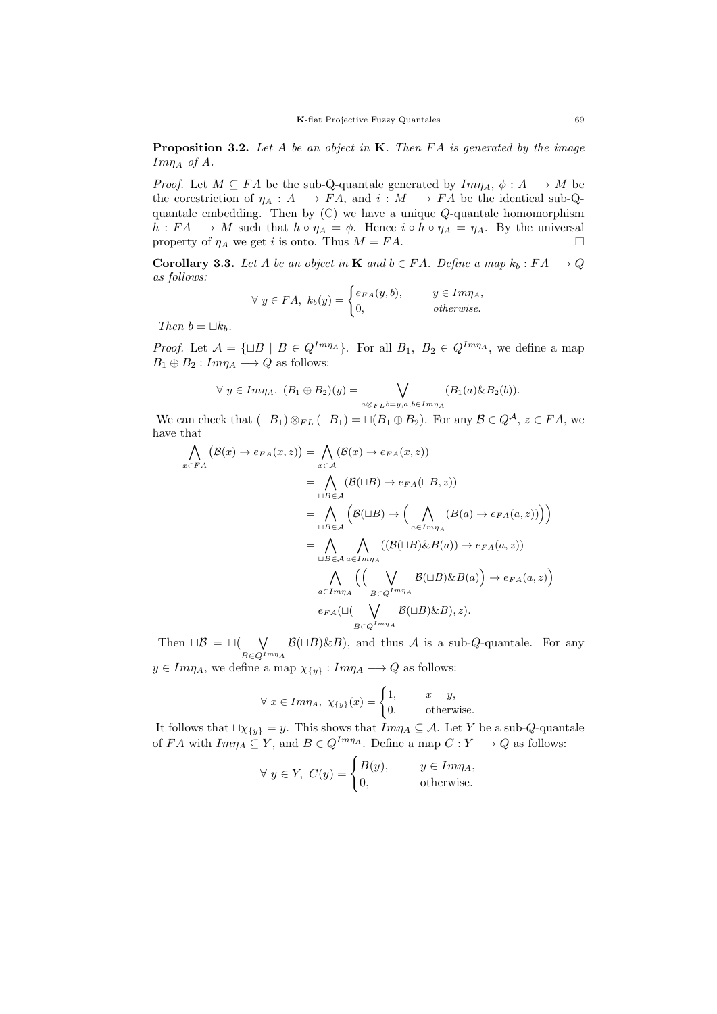**Proposition 3.2.** Let A be an object in  $K$ . Then FA is generated by the image  $Im\eta_A$  of A.

*Proof.* Let  $M \subseteq FA$  be the sub-Q-quantale generated by  $Im\eta_A$ ,  $\phi: A \longrightarrow M$  be the corestriction of  $\eta_A : A \longrightarrow FA$ , and  $i : M \longrightarrow FA$  be the identical sub-Qquantale embedding. Then by  $(C)$  we have a unique  $Q$ -quantale homomorphism  $h : FA \longrightarrow M$  such that  $h \circ \eta_A = \phi$ . Hence  $i \circ h \circ \eta_A = \eta_A$ . By the universal property of  $\eta_A$  we get *i* is onto. Thus  $M = FA$ .

**Corollary 3.3.** Let A be an object in **K** and  $b \in FA$ . Define a map  $k_b : FA \longrightarrow Q$ as follows:

$$
\forall y \in FA, k_b(y) = \begin{cases} e_{FA}(y, b), & y \in Im \eta_A, \\ 0, & otherwise. \end{cases}
$$

Then  $b = \sqcup k_b$ .

*Proof.* Let  $A = {\sqcup B \mid B \in Q^{Im\eta_A}}$ . For all  $B_1, B_2 \in Q^{Im\eta_A}$ , we define a map  $B_1 \oplus B_2 : Im\eta_A \longrightarrow Q$  as follows:

$$
\forall y \in Im\eta_A, (B_1 \oplus B_2)(y) = \bigvee_{a \otimes_{FL} b = y, a, b \in Im\eta_A} (B_1(a) \& B_2(b)).
$$

We can check that  $(\Box B_1) \otimes_{FL} (\Box B_1) = \Box (B_1 \oplus B_2)$ . For any  $\mathcal{B} \in Q^{\mathcal{A}}$ ,  $z \in FA$ , we have that

$$
\begin{split}\n\bigwedge_{x \in FA} \left( \mathcal{B}(x) \to e_{FA}(x, z) \right) &= \bigwedge_{x \in A} \left( \mathcal{B}(x) \to e_{FA}(x, z) \right) \\
&= \bigwedge_{\sqcup B \in A} \left( \mathcal{B}(\sqcup B) \to e_{FA}(\sqcup B, z) \right) \\
&= \bigwedge_{\sqcup B \in A} \left( \mathcal{B}(\sqcup B) \to \Big( \bigwedge_{a \in Im \eta_A} \left( B(a) \to e_{FA}(a, z) \right) \Big) \right) \\
&= \bigwedge_{\sqcup B \in \mathcal{A}} \bigwedge_{a \in Im \eta_A} \left( \left( \mathcal{B}(\sqcup B) \& B(a) \right) \to e_{FA}(a, z) \right) \\
&= \bigwedge_{a \in Im \eta_A} \left( \bigvee_{B \in Q^{Im \eta_A}} \mathcal{B}(\sqcup B) \& B(a) \right) \to e_{FA}(a, z) \right) \\
&= e_{FA}(\sqcup (\bigvee_{B \in Q^{Im \eta_A}} \mathcal{B}(\sqcup B) \& B), z).\n\end{split}
$$

Then  $\Box \mathcal{B} = \Box (\Box \bigvee$  $B \in Q^{Im\eta}A$  $\mathcal{B}(\sqcup B)\&B,$  and thus A is a sub-Q-quantale. For any  $y \in Im\eta_A$ , we define a map  $\chi_{\{y\}}: Im\eta_A \longrightarrow Q$  as follows:

$$
\forall x \in Im\eta_A, \ \chi_{\{y\}}(x) = \begin{cases} 1, & x = y, \\ 0, & \text{otherwise.} \end{cases}
$$

It follows that  $\Box \chi_{\{y\}} = y$ . This shows that  $Im \eta_A \subseteq A$ . Let Y be a sub-Q-quantale of FA with  $Im\eta_A \subseteq Y$ , and  $B \in Q^{Im\eta_A}$ . Define a map  $C: Y \longrightarrow Q$  as follows:

$$
\forall y \in Y, C(y) = \begin{cases} B(y), & y \in Im \eta_A, \\ 0, & \text{otherwise.} \end{cases}
$$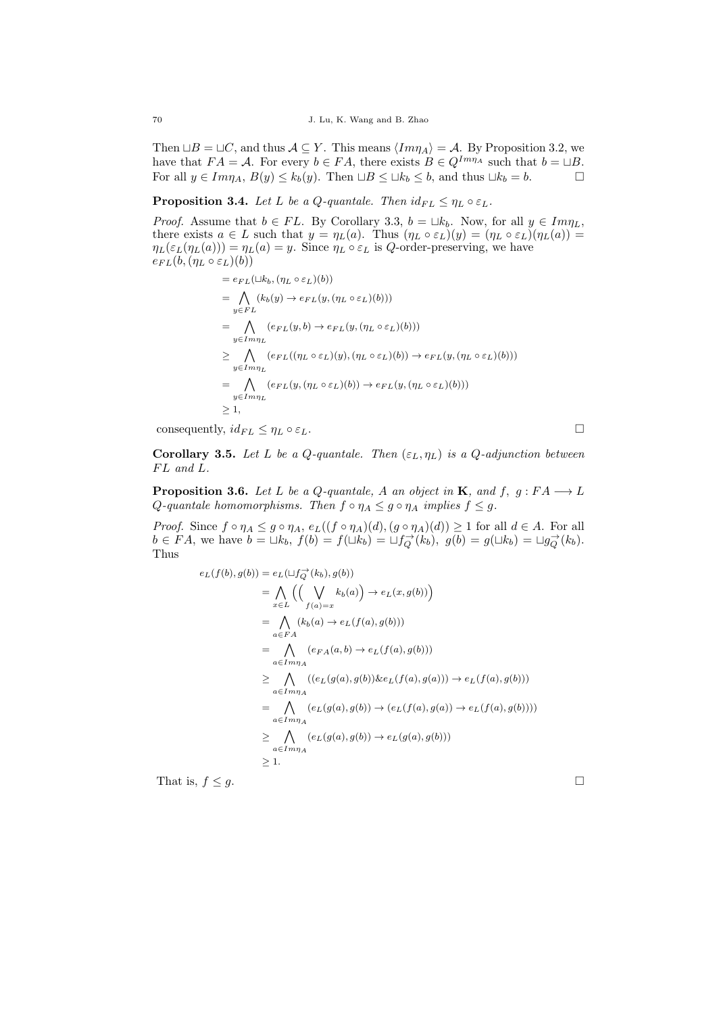Then  $\Box B = \Box C$ , and thus  $A \subseteq Y$ . This means  $\langle Im\eta_A \rangle = A$ . By Proposition 3.2, we have that  $FA = \mathcal{A}$ . For every  $b \in FA$ , there exists  $B \in Q^{Im\eta_A}$  such that  $b = \sqcup B$ . For all  $y \in Im\eta_A$ ,  $B(y) \le k_b(y)$ . Then  $\Box B \le \Box k_b \le b$ , and thus  $\Box k_b = b$ .

**Proposition 3.4.** Let L be a Q-quantale. Then  $id_{FL} \leq \eta_L \circ \varepsilon_L$ .

*Proof.* Assume that  $b \in FL$ . By Corollary 3.3,  $b = \Box k_b$ . Now, for all  $y \in Im\eta_L$ , there exists  $a \in L$  such that  $y = \eta_L(a)$ . Thus  $(\eta_L \circ \varepsilon_L)(y) = (\eta_L \circ \varepsilon_L)(\eta_L(a)) =$  $\eta_L(\varepsilon_L(\eta_L(a))) = \eta_L(a) = y$ . Since  $\eta_L \circ \varepsilon_L$  is Q-order-preserving, we have  $e_{FL}(b, (\eta_L \circ \varepsilon_L)(b))$ 

$$
= e_{FL}(\Box k_b, (\eta_L \circ \varepsilon_L)(b))
$$
  
\n
$$
= \bigwedge_{y \in FL} (k_b(y) \to e_{FL}(y, (\eta_L \circ \varepsilon_L)(b)))
$$
  
\n
$$
= \bigwedge_{y \in Im\eta_L} (e_{FL}(y, b) \to e_{FL}(y, (\eta_L \circ \varepsilon_L)(b)))
$$
  
\n
$$
\geq \bigwedge_{y \in Im\eta_L} (e_{FL}((\eta_L \circ \varepsilon_L)(y), (\eta_L \circ \varepsilon_L)(b))) \to e_{FL}(y, (\eta_L \circ \varepsilon_L)(b)))
$$
  
\n
$$
= \bigwedge_{y \in Im\eta_L} (e_{FL}(y, (\eta_L \circ \varepsilon_L)(b)) \to e_{FL}(y, (\eta_L \circ \varepsilon_L)(b)))
$$
  
\n
$$
\geq 1,
$$

consequently,  $id_{FL} \leq \eta_L \circ \varepsilon_L$ .

Corollary 3.5. Let L be a Q-quantale. Then  $(\varepsilon_L, \eta_L)$  is a Q-adjunction between  $FL$  and  $L$ .

**Proposition 3.6.** Let L be a Q-quantale, A an object in **K**, and f,  $g : FA \longrightarrow L$ Q-quantale homomorphisms. Then  $f \circ \eta_A \leq g \circ \eta_A$  implies  $f \leq g$ .

*Proof.* Since  $f \circ \eta_A \leq g \circ \eta_A$ ,  $e_L((f \circ \eta_A)(d), (g \circ \eta_A)(d)) \geq 1$  for all  $d \in A$ . For all  $b \in FA$ , we have  $b = \Box k_b$ ,  $f(b) = f(\Box k_b) = \Box f_Q^{\rightarrow}(k_b)$ ,  $g(b) = g(\Box k_b) = \Box g_Q^{\rightarrow}(k_b)$ . Thus

$$
e_L(f(b), g(b)) = e_L(\sqcup f_Q^{\rightarrow}(k_b), g(b))
$$
  
\n
$$
= \bigwedge_{x \in L} \Big( \Big( \bigvee_{f(a) = x} k_b(a) \Big) \rightarrow e_L(x, g(b)) \Big)
$$
  
\n
$$
= \bigwedge_{a \in FA} (k_b(a) \rightarrow e_L(f(a), g(b)))
$$
  
\n
$$
= \bigwedge_{a \in Imn_A} (e_{FA}(a, b) \rightarrow e_L(f(a), g(b)))
$$
  
\n
$$
\geq \bigwedge_{a \in Imn_A} ((e_L(g(a), g(b)) \& e_L(f(a), g(a))) \rightarrow e_L(f(a), g(b)))
$$
  
\n
$$
= \bigwedge_{a \in Imn_A} (e_L(g(a), g(b)) \rightarrow (e_L(f(a), g(a)) \rightarrow e_L(f(a), g(b))))
$$
  
\n
$$
\leq \bigwedge_{a \in Imn_A} (e_L(g(a), g(b)) \rightarrow e_L(g(a), g(b)))
$$
  
\n
$$
\geq 1.
$$

That is,  $f \leq g$ .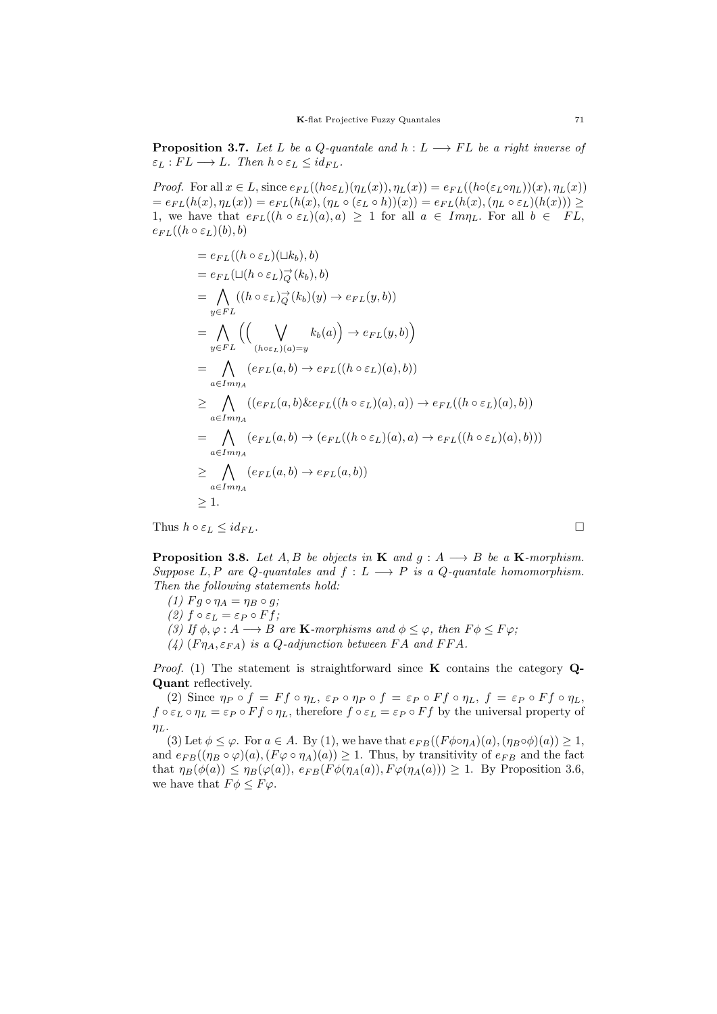**Proposition 3.7.** Let L be a Q-quantale and  $h : L \longrightarrow FL$  be a right inverse of  $\varepsilon_L : FL \longrightarrow L$ . Then  $h \circ \varepsilon_L \leq id_{FL}$ .

*Proof.* For all  $x \in L$ , since  $e_{FL}((h \circ \varepsilon_L)(\eta_L(x)), \eta_L(x)) = e_{FL}((h \circ (\varepsilon_L \circ \eta_L))(x), \eta_L(x))$  $= e_{FL}(h(x), \eta_L(x)) = e_{FL}(h(x), (\eta_L \circ (\varepsilon_L \circ h))(x)) = e_{FL}(h(x), (\eta_L \circ \varepsilon_L)(h(x))) \ge$ 1, we have that  $e_{FL}((h \circ \varepsilon_L)(a), a) \geq 1$  for all  $a \in Im\eta_L$ . For all  $b \in FL$ ,  $e_{FL}((h \circ \varepsilon_L)(b), b)$ 

$$
= e_{FL}((h \circ \varepsilon_L)(\Box k_b), b)
$$
  
\n
$$
= e_{FL}(\Box(h \circ \varepsilon_L) \overrightarrow{Q}(k_b), b)
$$
  
\n
$$
= \bigwedge_{y \in FL} ((h \circ \varepsilon_L) \overrightarrow{Q}(k_b)(y) \rightarrow e_{FL}(y, b))
$$
  
\n
$$
= \bigwedge_{y \in FL} ((\bigvee_{(h \circ \varepsilon_L)(a) = y} k_b(a)) \rightarrow e_{FL}(y, b))
$$
  
\n
$$
= \bigwedge_{a \in Im\eta_A} (e_{FL}(a, b) \rightarrow e_{FL}((h \circ \varepsilon_L)(a), b))
$$
  
\n
$$
\geq \bigwedge_{a \in Im\eta_A} ((e_{FL}(a, b) \& e_{FL}((h \circ \varepsilon_L)(a), a)) \rightarrow e_{FL}((h \circ \varepsilon_L)(a), b))
$$
  
\n
$$
= \bigwedge_{a \in Im\eta_A} (e_{FL}(a, b) \rightarrow (e_{FL}((h \circ \varepsilon_L)(a), a) \rightarrow e_{FL}((h \circ \varepsilon_L)(a), b)))
$$
  
\n
$$
\geq \bigwedge_{a \in Im\eta_A} (e_{FL}(a, b) \rightarrow e_{FL}(a, b))
$$
  
\n
$$
\geq 1.
$$

Thus  $h \circ \varepsilon_L \leq id_{FL}$ .

**Proposition 3.8.** Let A, B be objects in **K** and  $g : A \longrightarrow B$  be a **K**-morphism. Suppose L, P are Q-quantales and  $f: L \longrightarrow P$  is a Q-quantale homomorphism. Then the following statements hold:

(1)  $F q \circ \eta_A = \eta_B \circ q;$ (2)  $f \circ \varepsilon_L = \varepsilon_P \circ F f$ ;

(3) If  $\phi, \varphi : A \longrightarrow B$  are **K**-morphisms and  $\phi \leq \varphi$ , then  $F\phi \leq F\varphi$ ;

(4)  $(F\eta_A, \varepsilon_{FA})$  is a Q-adjunction between FA and FFA.

Proof. (1) The statement is straightforward since  $K$  contains the category  $Q$ -Quant reflectively.

(2) Since  $\eta_P \circ f = Ff \circ \eta_L$ ,  $\varepsilon_P \circ \eta_P \circ f = \varepsilon_P \circ Ff \circ \eta_L$ ,  $f = \varepsilon_P \circ Ff \circ \eta_L$ ,  $f \circ \varepsilon_L \circ \eta_L = \varepsilon_P \circ F f \circ \eta_L$ , therefore  $f \circ \varepsilon_L = \varepsilon_P \circ F f$  by the universal property of  $\eta_L$ .

(3) Let  $\phi \leq \varphi$ . For  $a \in A$ . By (1), we have that  $e_{FB}((F\phi \circ \eta_A)(a), (\eta_B \circ \phi)(a)) \geq 1$ , and  $e_{FB}((\eta_B \circ \varphi)(a), (F\varphi \circ \eta_A)(a)) \geq 1$ . Thus, by transitivity of  $e_{FB}$  and the fact that  $\eta_B(\phi(a)) \leq \eta_B(\varphi(a)), e_{FB}(F\phi(\eta_A(a)), F\varphi(\eta_A(a))) \geq 1$ . By Proposition 3.6, we have that  $F\phi \leq F\varphi$ .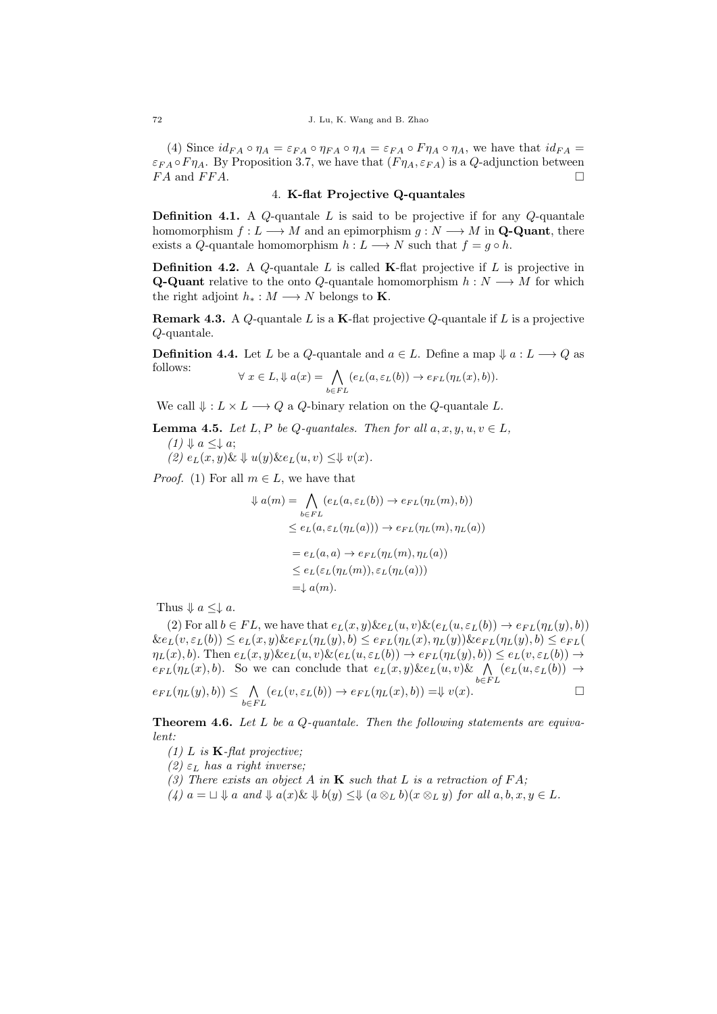(4) Since  $id_{FA} \circ \eta_A = \varepsilon_{FA} \circ \eta_{FA} \circ \eta_A = \varepsilon_{FA} \circ F \eta_A \circ \eta_A$ , we have that  $id_{FA} =$  $\varepsilon_{FA} \circ F \eta_A$ . By Proposition 3.7, we have that  $(F \eta_A, \varepsilon_{FA})$  is a Q-adjunction between  $FA$  and  $FFA$ .

# 4. K-flat Projective Q-quantales

**Definition 4.1.** A  $Q$ -quantale  $L$  is said to be projective if for any  $Q$ -quantale homomorphism  $f: L \longrightarrow M$  and an epimorphism  $g: N \longrightarrow M$  in **Q-Quant**, there exists a Q-quantale homomorphism  $h: L \longrightarrow N$  such that  $f = g \circ h$ .

**Definition 4.2.** A Q-quantale  $L$  is called **K**-flat projective if  $L$  is projective in **Q-Quant** relative to the onto Q-quantale homomorphism  $h : N \longrightarrow M$  for which the right adjoint  $h_* : M \longrightarrow N$  belongs to **K**.

**Remark 4.3.** A Q-quantale L is a K-flat projective Q-quantale if L is a projective Q-quantale.

**Definition 4.4.** Let L be a Q-quantale and  $a \in L$ . Define a map  $\Downarrow a : L \longrightarrow Q$  as follows:

$$
\forall x \in L, \psi \ a(x) = \bigwedge_{b \in FL} (e_L(a, \varepsilon_L(b)) \to e_{FL}(\eta_L(x), b)).
$$

We call  $\Downarrow$  :  $L \times L \longrightarrow Q$  a Q-binary relation on the Q-quantale L.

**Lemma 4.5.** Let L, P be Q-quantales. Then for all  $a, x, y, u, v \in L$ ,

 $(1) \Downarrow a \leq \downarrow a;$ 

 $(2)$   $e_L(x, y)$ &  $\downarrow u(y)$ & $e_L(u, v) \leq \downarrow v(x)$ .

*Proof.* (1) For all  $m \in L$ , we have that

$$
\psi a(m) = \bigwedge_{b \in FL} (e_L(a, \varepsilon_L(b)) \to e_{FL}(\eta_L(m), b))
$$
  
\n
$$
\leq e_L(a, \varepsilon_L(\eta_L(a))) \to e_{FL}(\eta_L(m), \eta_L(a))
$$
  
\n
$$
= e_L(a, a) \to e_{FL}(\eta_L(m), \eta_L(a))
$$
  
\n
$$
\leq e_L(\varepsilon_L(\eta_L(m)), \varepsilon_L(\eta_L(a)))
$$
  
\n
$$
= \psi a(m).
$$

Thus  $\Downarrow$  a  $\leq \downarrow$  a.

(2) For all  $b \in FL$ , we have that  $e_L(x, y) \& e_L(u, v) \& (e_L(u, \varepsilon_L(b)) \rightarrow e_{FL}(\eta_L(y), b))$  $\&e_L(v,\varepsilon_L(b))\leq e_L(x,y)\&e_{FL}(\eta_L(y),b)\leq e_{FL}(\eta_L(x),\eta_L(y))\&e_{FL}(\eta_L(y),b)\leq e_{FL}(b)$  $\eta_L(x), b$ ). Then  $e_L(x, y)$ & $e_L(u, v)$ & $(e_L(u, \varepsilon_L(b)) \to e_{FL}(\eta_L(y), b)) \leq e_L(v, \varepsilon_L(b)) \to$  $e_{FL}(\eta_L(x), b)$ . So we can conclude that  $e_L(x, y) \& e_L(u, v) \& \bigwedge_{b \in FL} (e_L(u, \varepsilon_L(b)) \rightarrow$ 

$$
e_{FL}(\eta_L(y), b)) \leq \bigwedge_{b \in FL} (e_L(v, \varepsilon_L(b)) \to e_{FL}(\eta_L(x), b)) = \Downarrow v(x).
$$

**Theorem 4.6.** Let L be a Q-quantale. Then the following statements are equivalent:

(1) L is  $\mathbf{K}$ -flat projective;

(2)  $\varepsilon_L$  has a right inverse;

(3) There exists an object A in  $\bf{K}$  such that L is a retraction of FA;

(4)  $a = \Box \Downarrow a$  and  $\Downarrow a(x) \& \Downarrow b(y) \leq \Downarrow (a \otimes_L b)(x \otimes_L y)$  for all  $a, b, x, y \in L$ .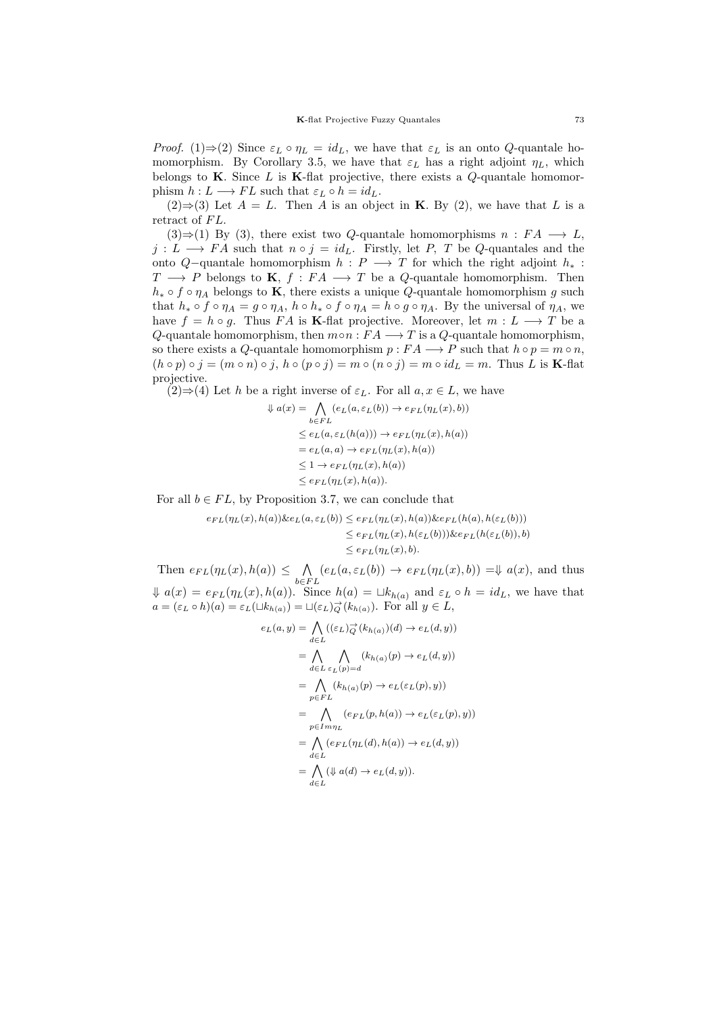*Proof.* (1)⇒(2) Since  $\varepsilon_L \circ \eta_L = id_L$ , we have that  $\varepsilon_L$  is an onto Q-quantale homomorphism. By Corollary 3.5, we have that  $\varepsilon_L$  has a right adjoint  $\eta_L$ , which belongs to  $K$ . Since  $L$  is  $K$ -flat projective, there exists a  $Q$ -quantale homomorphism  $h: L \longrightarrow FL$  such that  $\varepsilon_L \circ h = id_L$ .

 $(2) \Rightarrow (3)$  Let  $A = L$ . Then A is an object in **K**. By (2), we have that L is a retract of FL.

(3)⇒(1) By (3), there exist two Q-quantale homomorphisms  $n : FA \longrightarrow L$ ,  $j: L \longrightarrow FA$  such that  $n \circ j = id_L$ . Firstly, let P, T be Q-quantales and the onto Q–quantale homomorphism  $h : P \longrightarrow T$  for which the right adjoint  $h_*$ :  $T \longrightarrow P$  belongs to **K**,  $f : FA \longrightarrow T$  be a *Q*-quantale homomorphism. Then  $h_* \circ f \circ \eta_A$  belongs to **K**, there exists a unique *Q*-quantale homomorphism g such that  $h_* \circ f \circ \eta_A = g \circ \eta_A$ ,  $h \circ h_* \circ f \circ \eta_A = h \circ g \circ \eta_A$ . By the universal of  $\eta_A$ , we have  $f = h \circ g$ . Thus FA is K-flat projective. Moreover, let  $m : L \longrightarrow T$  be a Q-quantale homomorphism, then  $m \circ n : FA \longrightarrow T$  is a Q-quantale homomorphism, so there exists a Q-quantale homomorphism  $p : FA \longrightarrow P$  such that  $h \circ p = m \circ n$ ,  $(h \circ p) \circ j = (m \circ n) \circ j$ ,  $h \circ (p \circ j) = m \circ (n \circ j) = m \circ id_L = m$ . Thus L is **K**-flat projective.

 $(2) \Rightarrow (4)$  Let h be a right inverse of  $\varepsilon_L$ . For all  $a, x \in L$ , we have

$$
a(x) = \bigwedge_{b \in FL} (e_L(a, \varepsilon_L(b)) \to e_{FL}(\eta_L(x), b))
$$
  
\n
$$
\leq e_L(a, \varepsilon_L(h(a))) \to e_{FL}(\eta_L(x), h(a))
$$
  
\n
$$
= e_L(a, a) \to e_{FL}(\eta_L(x), h(a))
$$
  
\n
$$
\leq 1 \to e_{FL}(\eta_L(x), h(a))
$$
  
\n
$$
\leq e_{FL}(\eta_L(x), h(a)).
$$

For all  $b \in FL$ , by Proposition 3.7, we can conclude that

 $\Downarrow$ 

$$
e_{FL}(\eta_L(x), h(a))\&e_L(a, \varepsilon_L(b)) \le e_{FL}(\eta_L(x), h(a))\&e_{FL}(h(a), h(\varepsilon_L(b)))
$$
  

$$
\le e_{FL}(\eta_L(x), h(\varepsilon_L(b)))\&e_{FL}(h(\varepsilon_L(b)), b)
$$
  

$$
\le e_{FL}(\eta_L(x), b).
$$

Then  $e_{FL}(\eta_L(x), h(a)) \leq \bigwedge$  $\bigwedge_{b \in FL} (e_L(a, \varepsilon_L(b)) \to e_{FL}(\eta_L(x), b)) = \Downarrow a(x)$ , and thus  $\downarrow a(x) = e_{FL}(\eta_L(x), h(a))$ . Since  $h(a) = \sqcup k_{h(a)}$  and  $\varepsilon_L \circ h = id_L$ , we have that  $a = (\varepsilon_L \circ h)(a) = \varepsilon_L(\sqcup k_{h(a)}) = \sqcup (\varepsilon_L)_{Q}^{\to}(k_{h(a)})$ . For all  $y \in L$ ,

$$
e_L(a, y) = \bigwedge_{d \in L} ((\varepsilon_L)_{Q}^{-1}(k_{h(a)})(d) \to e_L(d, y))
$$
  
\n
$$
= \bigwedge_{d \in L} \bigwedge_{\varepsilon_L(p) = d} (k_{h(a)}(p) \to e_L(d, y))
$$
  
\n
$$
= \bigwedge_{p \in FL} (k_{h(a)}(p) \to e_L(\varepsilon_L(p), y))
$$
  
\n
$$
= \bigwedge_{p \in Lmp_L} (e_{FL}(p, h(a)) \to e_L(\varepsilon_L(p), y))
$$
  
\n
$$
= \bigwedge_{d \in L} (e_{FL}(\eta_L(d), h(a)) \to e_L(d, y))
$$
  
\n
$$
= \bigwedge_{d \in L} (\Psi(a(d) \to e_L(d, y)).
$$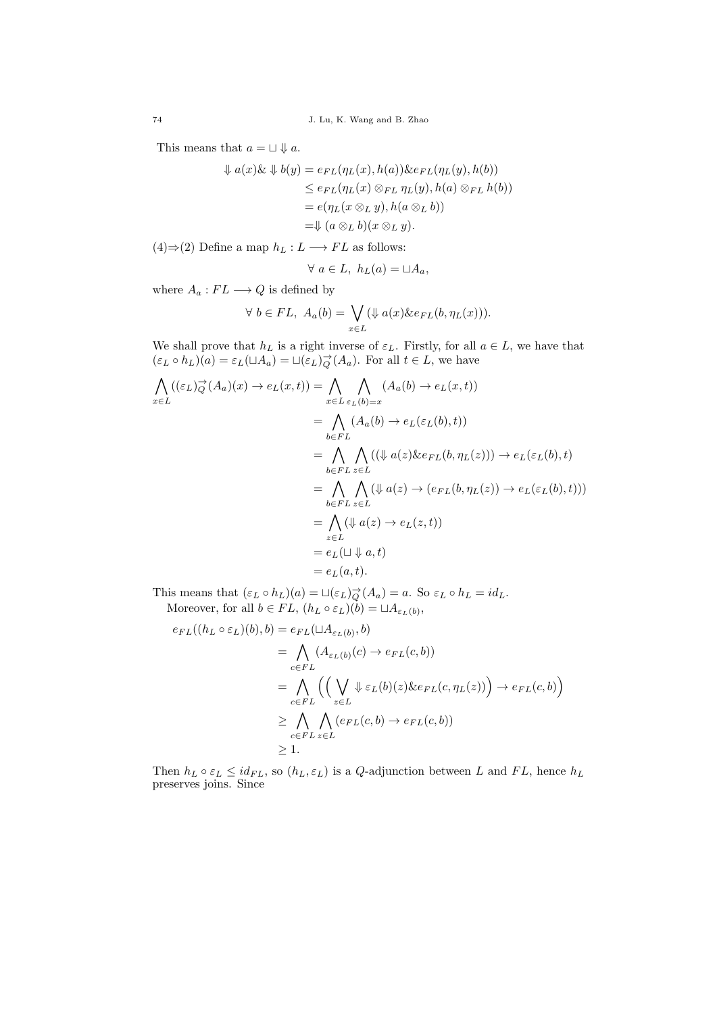This means that  $a = \Box \Downarrow a$ .

$$
\psi a(x)\& \psi b(y) = e_{FL}(\eta_L(x), h(a))\& e_{FL}(\eta_L(y), h(b))
$$
  
\n
$$
\leq e_{FL}(\eta_L(x) \otimes_{FL} \eta_L(y), h(a) \otimes_{FL} h(b))
$$
  
\n
$$
= e(\eta_L(x \otimes_L y), h(a \otimes_L b))
$$
  
\n
$$
= \psi (a \otimes_L b)(x \otimes_L y).
$$

(4)⇒(2) Define a map  $h_L : L \longrightarrow FL$  as follows:

$$
\forall a \in L, h_L(a) = \sqcup A_a,
$$

where  $A_a: FL \longrightarrow Q$  is defined by

$$
\forall b \in FL, A_a(b) = \bigvee_{x \in L} (\Downarrow a(x) \& e_{FL}(b, \eta_L(x))).
$$

We shall prove that  $h_L$  is a right inverse of  $\varepsilon_L$ . Firstly, for all  $a \in L$ , we have that  $(\varepsilon_L \circ h_L)(a) = \varepsilon_L(\Box A_a) = \Box(\varepsilon_L)_{Q}^{\rightarrow}(A_a)$ . For all  $t \in L$ , we have

$$
\begin{aligned}\n\bigwedge_{x \in L} ((\varepsilon_L)_{Q}^{\to}(A_a)(x) \to e_L(x,t)) &= \bigwedge_{x \in L} \bigwedge_{\varepsilon_L(b)=x} (A_a(b) \to e_L(x,t)) \\
&= \bigwedge_{b \in FL} (A_a(b) \to e_L(\varepsilon_L(b),t)) \\
&= \bigwedge_{b \in FL} \bigwedge_{z \in L} ((\psi a(z) \& e_{FL}(b, \eta_L(z))) \to e_L(\varepsilon_L(b),t) \\
&= \bigwedge_{b \in FL} \bigwedge_{z \in L} (\psi a(z) \to (e_{FL}(b, \eta_L(z)) \to e_L(\varepsilon_L(b),t))) \\
&= \bigwedge_{z \in L} (\psi a(z) \to e_L(z,t)) \\
&= e_L(\sqcup \Downarrow a, t) \\
&= e_L(a,t).\n\end{aligned}
$$

This means that  $(\varepsilon_L \circ h_L)(a) = \Box(\varepsilon_L) \to^{\to} (A_a) = a$ . So  $\varepsilon_L \circ h_L = id_L$ . Moreover, for all  $b \in FL$ ,  $(h_L \circ \varepsilon_L)(b) = \sqcup A_{\varepsilon_L(b)}$ ,

$$
e_{FL}((h_L \circ \varepsilon_L)(b), b) = e_{FL}(\sqcup A_{\varepsilon_L(b)}, b)
$$
  
= 
$$
\bigwedge_{c \in FL} (A_{\varepsilon_L(b)}(c) \to e_{FL}(c, b))
$$
  
= 
$$
\bigwedge_{c \in FL} \left( \left( \bigvee_{z \in L} \Downarrow \varepsilon_L(b)(z) \& e_{FL}(c, \eta_L(z)) \right) \to e_{FL}(c, b) \right)
$$
  

$$
\geq \bigwedge_{c \in FL} \bigwedge_{z \in L} (e_{FL}(c, b) \to e_{FL}(c, b))
$$
  

$$
\geq 1.
$$

Then  $h_L \circ \varepsilon_L \leq id_{FL}$ , so  $(h_L, \varepsilon_L)$  is a Q-adjunction between L and FL, hence  $h_L$ preserves joins. Since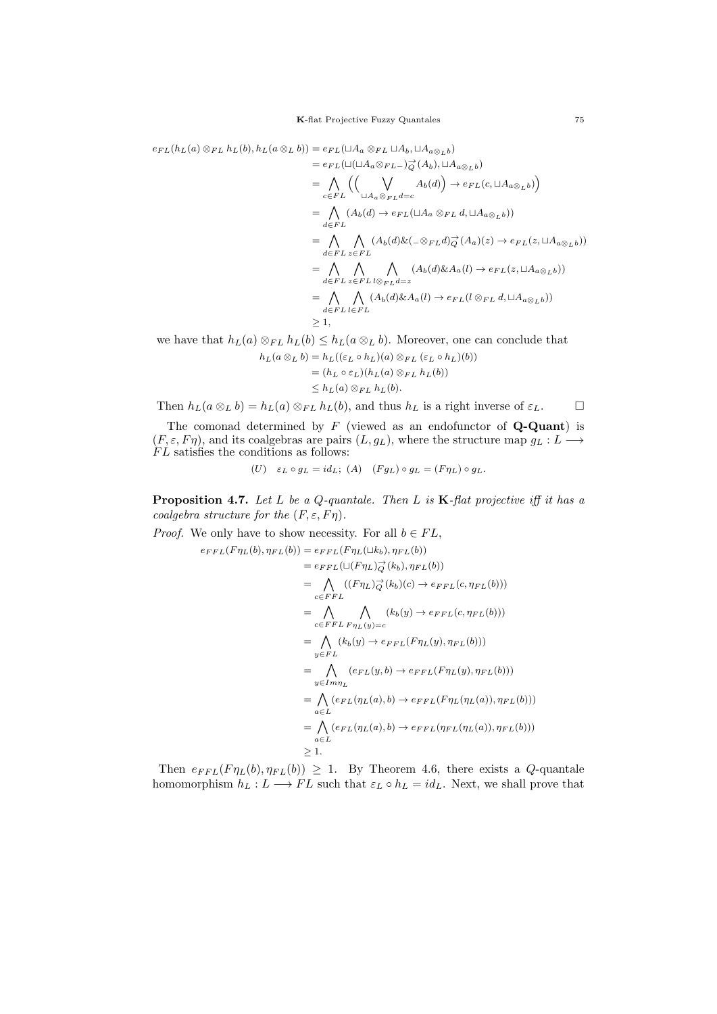$$
e_{FL}(h_L(a) \otimes_{FL} h_L(b), h_L(a \otimes_L b)) = e_{FL}(\sqcup A_a \otimes_{FL} \sqcup A_b, \sqcup A_{a \otimes_L b})
$$
  
\n
$$
= e_{FL}(\sqcup (\sqcup A_a \otimes_{FL})_{\overrightarrow{Q}}(A_b), \sqcup A_{a \otimes_L b})
$$
  
\n
$$
= \bigwedge_{c \in FL} \left( \bigvee_{\sqcup A_a \otimes_{FL} d = c} A_b(d) \right) \rightarrow e_{FL}(c, \sqcup A_{a \otimes_L b})
$$
  
\n
$$
= \bigwedge_{d \in FL} (A_b(d) \rightarrow e_{FL}(\sqcup A_a \otimes_{FL} d, \sqcup A_{a \otimes_L b}))
$$
  
\n
$$
= \bigwedge_{d \in FL} A_c(A_b(d) \& (\neg \otimes_{FL} d)_{\overrightarrow{Q}}(A_a)(z) \rightarrow e_{FL}(z, \sqcup A_{a \otimes_L b}))
$$
  
\n
$$
= \bigwedge_{d \in FL} A_c(A_b(d) \& (\neg \otimes_{FL} d)_{\overrightarrow{Q}}(A_a)(z) \rightarrow e_{FL}(z, \sqcup A_{a \otimes_L b}))
$$
  
\n
$$
= \bigwedge_{d \in FL} A_c(A_b(d) \& A_a(l) \rightarrow e_{FL}(l \otimes_{FL} d, \sqcup A_{a \otimes_L b}))
$$
  
\n
$$
\geq 1,
$$

we have that  $h_L(a) \otimes_{FL} h_L(b) \leq h_L(a \otimes_L b)$ . Moreover, one can conclude that  $h_L(a \otimes_L b) = h_L((\varepsilon_L \circ h_L)(a) \otimes_{FL} (\varepsilon_L \circ h_L)(b))$  $=(h_L \circ \varepsilon_L)(h_L(a) \otimes_{FL} h_L(b))$  $\leq h_L(a) \otimes_{FL} h_L(b).$ 

Then  $h_L(a \otimes_L b) = h_L(a) \otimes_{FL} h_L(b)$ , and thus  $h_L$  is a right inverse of  $\varepsilon_L$ .  $\Box$ 

The comonad determined by  $F$  (viewed as an endofunctor of  $Q$ -Quant) is  $(F, \varepsilon, F\eta)$ , and its coalgebras are pairs  $(L, g_L)$ , where the structure map  $g_L : L \longrightarrow$  $FL$  satisfies the conditions as follows:

$$
(U) \quad \varepsilon_L \circ g_L = id_L; \ (A) \quad (Fg_L) \circ g_L = (F\eta_L) \circ g_L.
$$

**Proposition 4.7.** Let L be a Q-quantale. Then L is  $\mathbf{K}$ -flat projective iff it has a coalgebra structure for the  $(F, \varepsilon, F\eta)$ .

*Proof.* We only have to show necessity. For all  $b \in FL$ ,

$$
e_{FFL}(F\eta_L(b), \eta_{FL}(b)) = e_{FFL}(F\eta_L(\sqcup k_b), \eta_{FL}(b))
$$
  
\n
$$
= e_{FFL}(\sqcup(F\eta_L)\overrightarrow{Q}(k_b), \eta_{FL}(b))
$$
  
\n
$$
= \bigwedge_{c \in FFL} ((F\eta_L)\overrightarrow{Q}(k_b)(c) \rightarrow e_{FFL}(c, \eta_{FL}(b)))
$$
  
\n
$$
= \bigwedge_{c \in FFL} \bigwedge_{F\eta_L(y)=c} (k_b(y) \rightarrow e_{FFL}(c, \eta_{FL}(b)))
$$
  
\n
$$
= \bigwedge_{y \in FL} (k_b(y) \rightarrow e_{FFL}(F\eta_L(y), \eta_{FL}(b)))
$$
  
\n
$$
= \bigwedge_{y \in Im\eta_L} (e_{FL}(y, b) \rightarrow e_{FFL}(F\eta_L(y), \eta_{FL}(b)))
$$
  
\n
$$
= \bigwedge_{a \in L} (e_{FL}(\eta_L(a), b) \rightarrow e_{FFL}(F\eta_L(\eta_L(a)), \eta_{FL}(b)))
$$
  
\n
$$
= \bigwedge_{a \in L} (e_{FL}(\eta_L(a), b) \rightarrow e_{FFL}(\eta_{FL}(\eta_L(a)), \eta_{FL}(b)))
$$
  
\n
$$
\geq 1.
$$

Then  $e_{FFL}(F\eta_L(b), \eta_{FL}(b)) \geq 1$ . By Theorem 4.6, there exists a Q-quantale homomorphism  $h_L : L \longrightarrow FL$  such that  $\varepsilon_L \circ h_L = id_L$ . Next, we shall prove that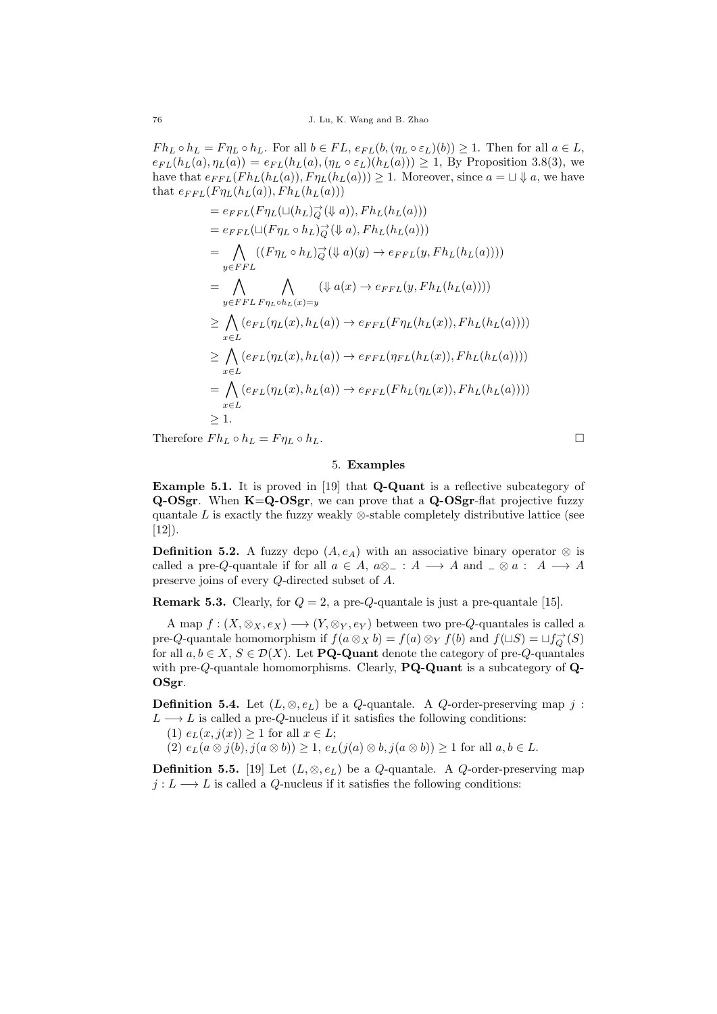$F h_L \circ h_L = F \eta_L \circ h_L$ . For all  $b \in FL$ ,  $e_{FL}(b, (\eta_L \circ \varepsilon_L)(b)) \geq 1$ . Then for all  $a \in L$ ,  $e_{FL}(h_L(a), \eta_L(a)) = e_{FL}(h_L(a), (\eta_L \circ \varepsilon_L)(h_L(a))) \geq 1$ , By Proposition 3.8(3), we have that  $e_{FFL}(F h_L(h_L(a)), F \eta_L(h_L(a))) \geq 1$ . Moreover, since  $a = \Box \Downarrow a$ , we have that  $e_{FFL}(F\eta_L(h_L(a)), Fh_L(h_L(a)))$ 

$$
= e_{FFL}(F\eta_L(\sqcup(h_L)_{Q}^{-1}(\Downarrow a)), Fh_L(h_L(a)))
$$
  
\n
$$
= e_{FFL}(\sqcup(F\eta_L \circ h_L)_{Q}^{-1}(\Downarrow a), Fh_L(h_L(a)))
$$
  
\n
$$
= \bigwedge_{y \in FFL} ((F\eta_L \circ h_L)_{Q}^{-1}(\Downarrow a)(y) \to e_{FFL}(y, Fh_L(h_L(a))))
$$
  
\n
$$
= \bigwedge_{y \in FFL} \bigwedge_{\{x\in L} (\Downarrow a(x)) \to e_{FFL}(y, Fh_L(h_L(a))))
$$
  
\n
$$
\geq \bigwedge_{x \in L} (e_{FL}(\eta_L(x), h_L(a)) \to e_{FFL}(F\eta_L(h_L(x)), Fh_L(h_L(a))))
$$
  
\n
$$
\geq \bigwedge_{x \in L} (e_{FL}(\eta_L(x), h_L(a)) \to e_{FFL}(\eta_{FL}(h_L(x)), Fh_L(h_L(a))))
$$
  
\n
$$
= \bigwedge_{x \in L} (e_{FL}(\eta_L(x), h_L(a)) \to e_{FFL}(Fh_L(h_L(x)), Fh_L(h_L(a))))
$$
  
\n
$$
\geq 1.
$$

Therefore  $F h_L \circ h_L = F \eta_L \circ h_L$ .

# 5. Examples

Example 5.1. It is proved in [19] that Q-Quant is a reflective subcategory of Q-OSgr. When K=Q-OSgr, we can prove that a Q-OSgr-flat projective fuzzy quantale  $L$  is exactly the fuzzy weakly  $\otimes$ -stable completely distributive lattice (see  $[12]$ ).

**Definition 5.2.** A fuzzy dcpo  $(A, e_A)$  with an associative binary operator ⊗ is called a pre-Q-quantale if for all  $a \in A$ ,  $a \otimes \_ : A \longrightarrow A$  and  $\_ \otimes a : A \longrightarrow A$ preserve joins of every Q-directed subset of A.

**Remark 5.3.** Clearly, for  $Q = 2$ , a pre-Q-quantale is just a pre-quantale [15].

A map  $f: (X, \otimes_X, e_X) \longrightarrow (Y, \otimes_Y, e_Y)$  between two pre-Q-quantales is called a pre-Q-quantale homomorphism if  $f(a \otimes_X b) = f(a) \otimes_Y f(b)$  and  $f(\sqcup S) = \sqcup f_Q^{\rightarrow}(S)$ for all  $a, b \in X$ ,  $S \in \mathcal{D}(X)$ . Let **PQ-Quant** denote the category of pre-*Q*-quantales with pre-Q-quantale homomorphisms. Clearly, **PQ-Quant** is a subcategory of  $\mathbf{Q}$ -OSgr.

**Definition 5.4.** Let  $(L, \otimes, e_L)$  be a Q-quantale. A Q-order-preserving map j:  $L \longrightarrow L$  is called a pre-Q-nucleus if it satisfies the following conditions:

(1)  $e_L(x, i(x)) \geq 1$  for all  $x \in L$ ;

 $(2)$   $e_L(a \otimes j(b), j(a \otimes b)) \geq 1$ ,  $e_L(j(a) \otimes b, j(a \otimes b)) \geq 1$  for all  $a, b \in L$ .

**Definition 5.5.** [19] Let  $(L, \otimes, e_L)$  be a Q-quantale. A Q-order-preserving map  $j: L \longrightarrow L$  is called a Q-nucleus if it satisfies the following conditions: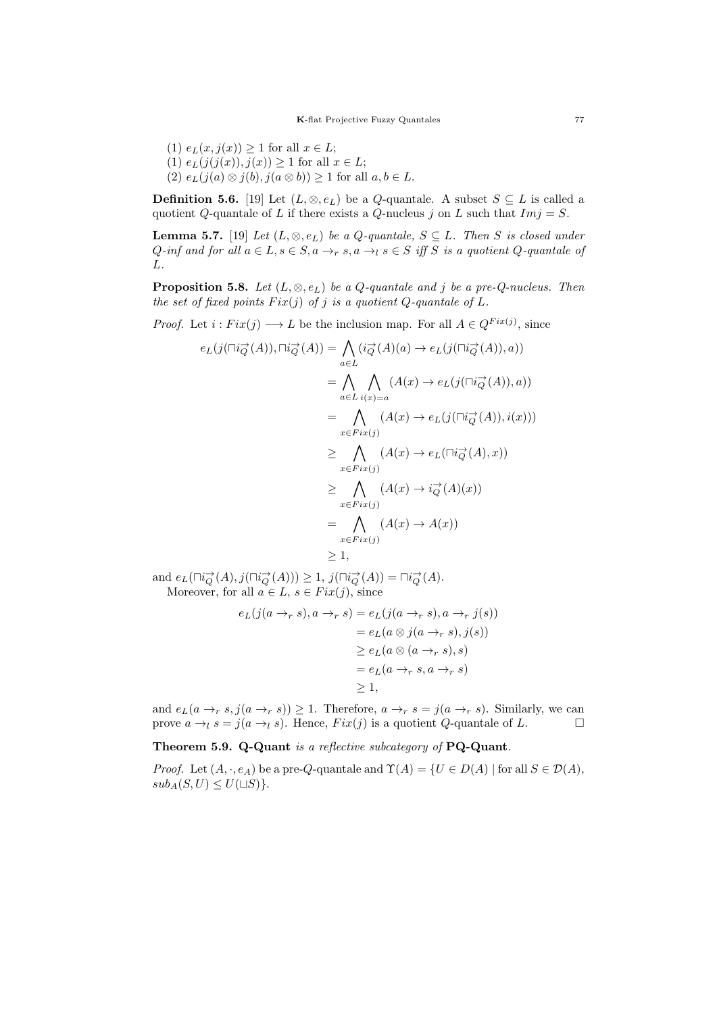(1)  $e_L(x, j(x)) \geq 1$  for all  $x \in L$ ; (1)  $e_L(j(j(x)), j(x)) \ge 1$  for all  $x \in L$ ; (2)  $e_L(j(a) \otimes j(b), j(a \otimes b)) \geq 1$  for all  $a, b \in L$ .

**Definition 5.6.** [19] Let  $(L, \otimes, e_L)$  be a Q-quantale. A subset  $S \subseteq L$  is called a quotient Q-quantale of L if there exists a Q-nucleus j on L such that  $Im j = S$ .

**Lemma 5.7.** [19] Let  $(L, \otimes, e_L)$  be a Q-quantale,  $S \subseteq L$ . Then S is closed under  $Q\text{-}inf$  and for all  $a \in L$ ,  $s \in S$ ,  $a \rightarrow_r s$ ,  $a \rightarrow_l s \in S$  iff S is a quotient  $Q\text{-}quantale$  of L.

**Proposition 5.8.** Let  $(L, \otimes, e_L)$  be a Q-quantale and j be a pre-Q-nucleus. Then the set of fixed points  $Fix(i)$  of j is a quotient Q-quantale of L.

*Proof.* Let  $i : Fix(j) \longrightarrow L$  be the inclusion map. For all  $A \in Q^{Fix(j)}$ , since

$$
e_L(j(\Box i \vec{Q}(A)), \Box i \vec{Q}(A)) = \bigwedge_{a \in L} (i \vec{Q}(A)(a) \rightarrow e_L(j(\Box i \vec{Q}(A)), a))
$$
  
\n
$$
= \bigwedge_{a \in L} \bigwedge_{i(x) = a} (A(x) \rightarrow e_L(j(\Box i \vec{Q}(A)), a))
$$
  
\n
$$
= \bigwedge_{x \in Fix(j)} (A(x) \rightarrow e_L(j(\Box i \vec{Q}(A)), i(x)))
$$
  
\n
$$
\geq \bigwedge_{x \in Fix(j)} (A(x) \rightarrow e_L(\Box i \vec{Q}(A), x))
$$
  
\n
$$
\geq \bigwedge_{x \in Fix(j)} (A(x) \rightarrow i \vec{Q}(A)(x))
$$
  
\n
$$
= \bigwedge_{x \in Fix(j)} (A(x) \rightarrow A(x))
$$
  
\n
$$
\geq 1,
$$

and  $e_L(\Box i_Q^{\rightarrow}(A), j(\Box i_Q^{\rightarrow}(A))) \geq 1$ ,  $j(\Box i_Q^{\rightarrow}(A)) = \Box i_Q^{\rightarrow}(A)$ . Moreover, for all  $a \in L$ ,  $s \in Fix(j)$ , since

$$
e_L(j(a \to_r s), a \to_r s) = e_L(j(a \to_r s), a \to_r j(s))
$$
  
=  $e_L(a \otimes j(a \to_r s), j(s))$   
 $\ge e_L(a \otimes (a \to_r s), s)$   
=  $e_L(a \to_r s, a \to_r s)$   
 $\ge 1$ ,

and  $e_L(a \to r s, j(a \to r s)) \geq 1$ . Therefore,  $a \to r s = j(a \to r s)$ . Similarly, we can prove  $a \rightarrow_l s = j(a \rightarrow_l s)$ . Hence,  $Fix(i)$  is a quotient Q-quantale of L.

Theorem 5.9. Q-Quant is a reflective subcategory of PQ-Quant.

*Proof.* Let  $(A, \cdot, e_A)$  be a pre-Q-quantale and  $\Upsilon(A) = \{U \in D(A) \mid \text{for all } S \in \mathcal{D}(A),\}$  $sub_A(S, U) \leq U(\sqcup S)$ .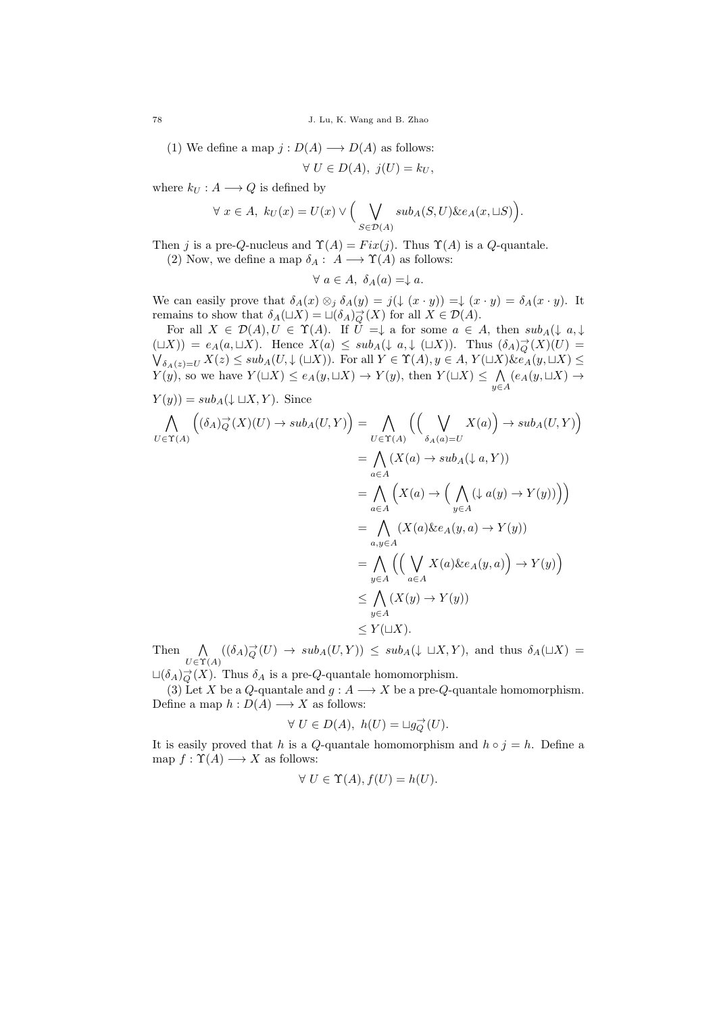78 J. Lu, K. Wang and B. Zhao

(1) We define a map 
$$
j: D(A) \longrightarrow D(A)
$$
 as follows:

$$
\forall U \in D(A), \ j(U) = k_U,
$$

where  $k_U : A \longrightarrow Q$  is defined by

$$
\forall x \in A, k_U(x) = U(x) \vee \Big(\bigvee_{S \in \mathcal{D}(A)} sub_A(S, U) \& e_A(x, \sqcup S) \Big).
$$

Then j is a pre-Q-nucleus and  $\Upsilon(A) = Fix(j)$ . Thus  $\Upsilon(A)$  is a Q-quantale.

(2) Now, we define a map  $\delta_A: A \longrightarrow \Upsilon(A)$  as follows:

$$
\forall a \in A, \ \delta_A(a) = \downarrow a.
$$

We can easily prove that  $\delta_A(x) \otimes_j \delta_A(y) = j(\downarrow (x \cdot y)) = \downarrow (x \cdot y) = \delta_A(x \cdot y)$ . It remains to show that  $\delta_A(\sqcup X) = \sqcup(\delta_A)_{Q}^{\rightarrow}(X)$  for all  $X \in \mathcal{D}(A)$ .

For all  $X \in \mathcal{D}(A), U \in \Upsilon(A)$ . If  $U = \downarrow$  a for some  $a \in A$ , then  $sub_A(\downarrow a, \downarrow)$  $(L(X)) = e_A(a, \Box X)$ . Hence  $X(a) \leq sub_A(\downarrow a, \downarrow (\Box X))$ . Thus  $(\delta_A)_{Q}^{\rightarrow}(X)(U) =$  $\bigvee_{\delta_A(z)=U} X(z) \leq sub_A(U, \downarrow (\sqcup X))$ . For all  $Y \in \Upsilon(A)$ ,  $y \in A$ ,  $Y(\sqcup X)$   $\&e_A(y, \sqcup X) \leq \delta$  $Y(y)$ , so we have  $Y(\sqcup X) \leq e_A(y, \sqcup X) \to Y(y)$ , then  $Y(\sqcup X) \leq \bigwedge$  $\bigwedge_{y\in A} (e_A(y,\sqcup X) \rightarrow$  $Y(y) = sub_A(\downarrow \sqcup X, Y)$ . Since

$$
\bigwedge_{U \in \Upsilon(A)} \left( (\delta_A)_{Q}^{\rightarrow}(X)(U) \rightarrow sub_A(U,Y) \right) = \bigwedge_{U \in \Upsilon(A)} \left( \left( \bigvee_{\delta_A(a) = U} X(a) \right) \rightarrow sub_A(U,Y) \right)
$$
\n
$$
= \bigwedge_{a \in A} (X(a) \rightarrow sub_A(\downarrow a, Y))
$$
\n
$$
= \bigwedge_{a \in A} \left( X(a) \rightarrow \left( \bigwedge_{y \in A} (\downarrow a(y) \rightarrow Y(y)) \right) \right)
$$
\n
$$
= \bigwedge_{a,y \in A} (X(a) \& e_A(y, a) \rightarrow Y(y))
$$
\n
$$
= \bigwedge_{y \in A} \left( \left( \bigvee_{a \in A} X(a) \& e_A(y, a) \right) \rightarrow Y(y) \right)
$$
\n
$$
\leq \bigwedge_{y \in A} (X(y) \rightarrow Y(y))
$$
\n
$$
\leq Y(\sqcup X).
$$

Then  $\bigwedge_{U \in \Upsilon(A)} ((\delta_A)_{Q}^{\rightarrow}(U) \rightarrow sub_A(U,Y)) \leq sub_A(\downarrow \sqcup X,Y)$ , and thus  $\delta_A(\sqcup X) =$ 

 $L(\delta_A)_{Q}^{\rightarrow}(X)$ . Thus  $\delta_A$  is a pre-Q-quantale homomorphism.

(3) Let X be a Q-quantale and  $g : A \longrightarrow X$  be a pre-Q-quantale homomorphism. Define a map  $h: D(A) \longrightarrow X$  as follows:

$$
\forall U \in D(A), \ h(U) = \sqcup g_Q^{\rightarrow}(U).
$$

It is easily proved that h is a Q-quantale homomorphism and  $h \circ j = h$ . Define a map  $f: \Upsilon(A) \longrightarrow X$  as follows:

$$
\forall U \in \Upsilon(A), f(U) = h(U).
$$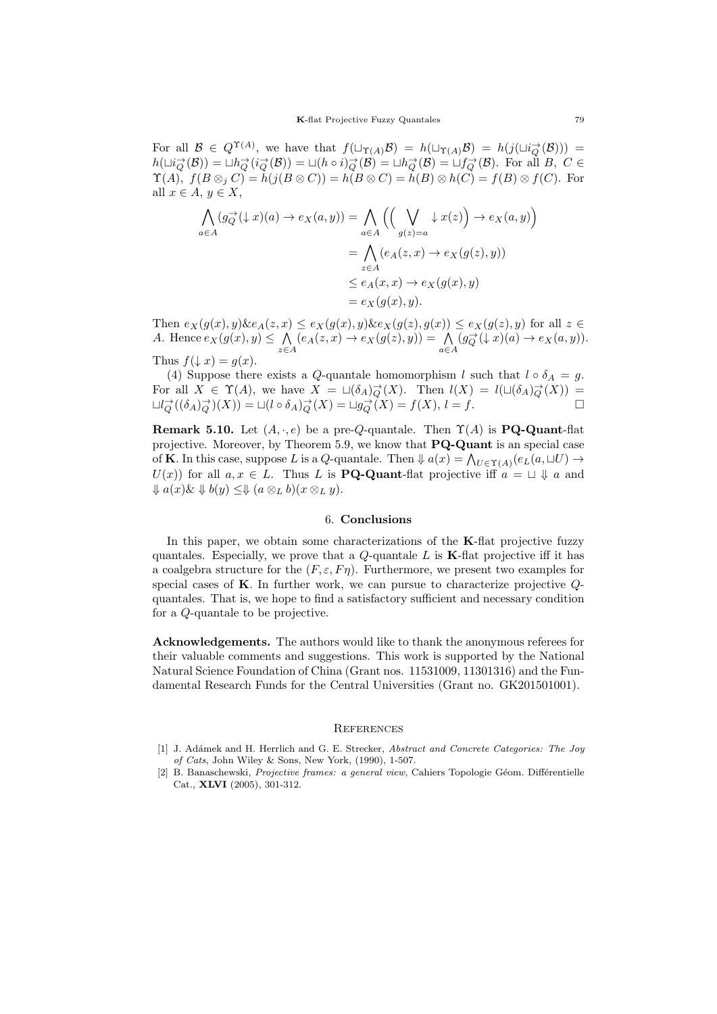For all  $\mathcal{B} \in Q^{\Upsilon(A)}$ , we have that  $f(\Box_{\Upsilon(A)}\mathcal{B}) = h(\Box_{\Upsilon(A)}\mathcal{B}) = h(j(\Box i_Q^{\rightarrow}(\mathcal{B}))) =$  $h(\text{Li}_Q^{\rightarrow}(\mathcal{B})) = \text{Li}_Q^{\rightarrow}(i_Q^{\rightarrow}(\mathcal{B})) = \text{Li}(h \circ i_Q^{\rightarrow}(\mathcal{B})) = \text{Li}_Q^{\rightarrow}(\mathcal{B}) = \text{Li}_Q^{\rightarrow}(\mathcal{B})$ . For all B, C  $\in$  $\Upsilon(A)$ ,  $f(B \otimes_i C) = h(j(B \otimes C)) = h(B \otimes C) = h(B) \otimes h(C) = f(B) \otimes f(C)$ . For all  $x \in A$ ,  $y \in X$ ,

$$
\bigwedge_{a \in A} (g_Q^{\to}(\downarrow x)(a) \to e_X(a, y)) = \bigwedge_{a \in A} \left( \left( \bigvee_{g(z)=a} \downarrow x(z) \right) \to e_X(a, y) \right)
$$

$$
= \bigwedge_{z \in A} (e_A(z, x) \to e_X(g(z), y))
$$

$$
\le e_A(x, x) \to e_X(g(x), y)
$$

$$
= e_X(g(x), y).
$$

Then  $e_X(g(x), y)$   $\&e_A(z, x) \le e_X(g(x), y)$   $\&e_X(g(z), g(x)) \le e_X(g(z), y)$  for all  $z \in$ A. Hence  $e_X(g(x), y) \leq \bigwedge$  $\bigwedge_{z \in A} (e_A(z, x) \to e_X(g(z), y)) = \bigwedge_{a \in A}$  $(g_Q^{\rightarrow}(\downarrow x)(a) \rightarrow e_X(a, y)).$ Thus  $f(\downarrow x) = g(x)$ .

(4) Suppose there exists a Q-quantale homomorphism l such that  $l \circ \delta_A = g$ . For all  $X \in \Upsilon(A)$ , we have  $X = \sqcup(\delta_A)_{Q}^{\rightarrow}(X)$ . Then  $l(X) = l(\sqcup(\delta_A)_{Q}^{\rightarrow}(X))$  $\sqcup l_Q^{\rightarrow}((\delta_A)_{Q}^{\rightarrow})(X)) = \sqcup (l \circ \delta_A)_{Q}^{\rightarrow}(X) = \sqcup g_Q^{\rightarrow}(X) = f(X), l = f.$ 

**Remark 5.10.** Let  $(A, \cdot, e)$  be a pre-Q-quantale. Then  $\Upsilon(A)$  is **PQ-Quant-flat** projective. Moreover, by Theorem 5.9, we know that PQ-Quant is an special case of **K**. In this case, suppose L is a Q-quantale. Then  $\Downarrow a(x) = \bigwedge_{U \in \Upsilon(A)} (e_L(a, \sqcup U) \rightarrow$  $U(x)$  for all  $a, x \in L$ . Thus L is **PQ-Quant**-flat projective iff  $a = \Box \Downarrow a$  and  $\downarrow a(x) \& \downarrow b(y) \leq \downarrow (a \otimes_L b)(x \otimes_L y).$ 

#### 6. Conclusions

In this paper, we obtain some characterizations of the K-flat projective fuzzy quantales. Especially, we prove that a  $Q$ -quantale L is **K**-flat projective iff it has a coalgebra structure for the  $(F, \varepsilon, F\eta)$ . Furthermore, we present two examples for special cases of K. In further work, we can pursue to characterize projective Qquantales. That is, we hope to find a satisfactory sufficient and necessary condition for a Q-quantale to be projective.

Acknowledgements. The authors would like to thank the anonymous referees for their valuable comments and suggestions. This work is supported by the National Natural Science Foundation of China (Grant nos. 11531009, 11301316) and the Fundamental Research Funds for the Central Universities (Grant no. GK201501001).

#### **REFERENCES**

- [1] J. Adámek and H. Herrlich and G. E. Strecker, Abstract and Concrete Categories: The Joy of Cats, John Wiley & Sons, New York, (1990), 1-507.
- [2] B. Banaschewski, Projective frames: a general view, Cahiers Topologie Géom. Différentielle Cat., XLVI (2005), 301-312.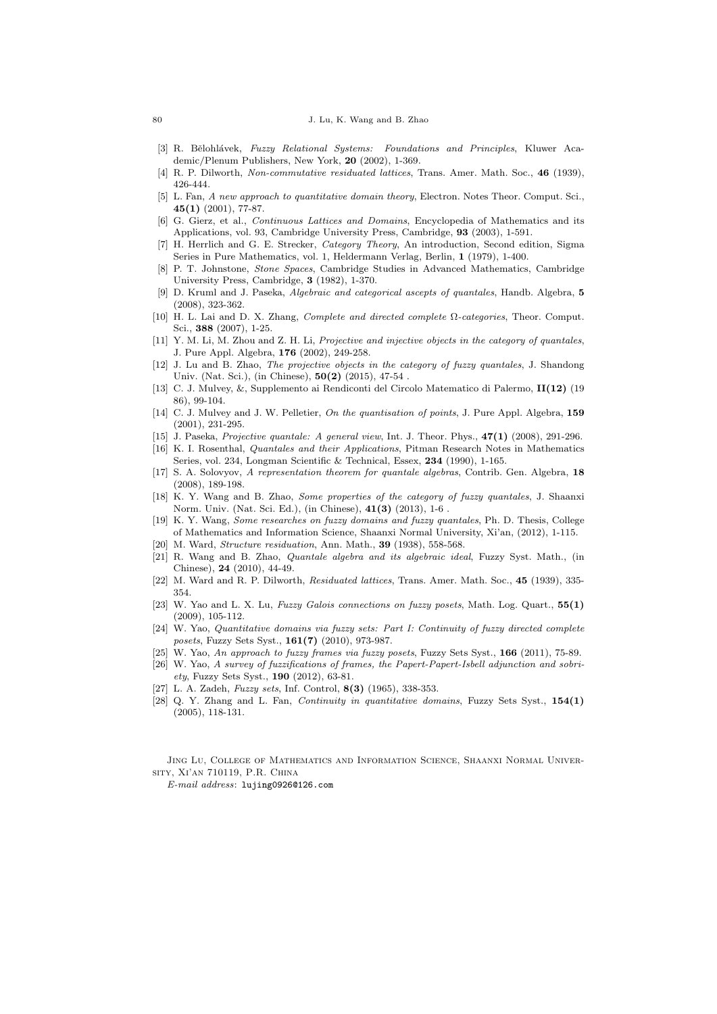#### 80 J. Lu, K. Wang and B. Zhao

- [3] R. Bělohlávek, Fuzzy Relational Systems: Foundations and Principles, Kluwer Academic/Plenum Publishers, New York, 20 (2002), 1-369.
- [4] R. P. Dilworth, Non-commutative residuated lattices, Trans. Amer. Math. Soc., 46 (1939), 426-444.
- [5] L. Fan, A new approach to quantitative domain theory, Electron. Notes Theor. Comput. Sci., 45(1) (2001), 77-87.
- [6] G. Gierz, et al., *Continuous Lattices and Domains*, Encyclopedia of Mathematics and its Applications, vol. 93, Cambridge University Press, Cambridge, 93 (2003), 1-591.
- [7] H. Herrlich and G. E. Strecker, Category Theory, An introduction, Second edition, Sigma Series in Pure Mathematics, vol. 1, Heldermann Verlag, Berlin, 1 (1979), 1-400.
- [8] P. T. Johnstone, Stone Spaces, Cambridge Studies in Advanced Mathematics, Cambridge University Press, Cambridge, 3 (1982), 1-370.
- [9] D. Kruml and J. Paseka, Algebraic and categorical ascepts of quantales, Handb. Algebra, 5 (2008), 323-362.
- [10] H. L. Lai and D. X. Zhang, Complete and directed complete Ω-categories, Theor. Comput. Sci., 388 (2007), 1-25.
- [11] Y. M. Li, M. Zhou and Z. H. Li, Projective and injective objects in the category of quantales, J. Pure Appl. Algebra, 176 (2002), 249-258.
- [12] J. Lu and B. Zhao, *The projective objects in the category of fuzzy quantales*, J. Shandong Univ. (Nat. Sci.), (in Chinese), 50(2) (2015), 47-54 .
- [13] C. J. Mulvey, &, Supplemento ai Rendiconti del Circolo Matematico di Palermo, II(12) (19 86), 99-104.
- [14] C. J. Mulvey and J. W. Pelletier, On the quantisation of points, J. Pure Appl. Algebra, 159 (2001), 231-295.
- [15] J. Paseka, Projective quantale: A general view, Int. J. Theor. Phys., 47(1) (2008), 291-296.
- [16] K. I. Rosenthal, Quantales and their Applications, Pitman Research Notes in Mathematics Series, vol. 234, Longman Scientific & Technical, Essex, 234 (1990), 1-165.
- [17] S. A. Solovyov, A representation theorem for quantale algebras, Contrib. Gen. Algebra, 18 (2008), 189-198.
- [18] K. Y. Wang and B. Zhao, Some properties of the category of fuzzy quantales, J. Shaanxi Norm. Univ. (Nat. Sci. Ed.), (in Chinese), 41(3) (2013), 1-6 .
- [19] K. Y. Wang, Some researches on fuzzy domains and fuzzy quantales, Ph. D. Thesis, College of Mathematics and Information Science, Shaanxi Normal University, Xi'an, (2012), 1-115. [20] M. Ward, *Structure residuation*, Ann. Math., **39** (1938), 558-568.
- [21] R. Wang and B. Zhao, Quantale algebra and its algebraic ideal, Fuzzy Syst. Math., (in Chinese), 24 (2010), 44-49.
- [22] M. Ward and R. P. Dilworth, Residuated lattices, Trans. Amer. Math. Soc., 45 (1939), 335- 354.
- [23] W. Yao and L. X. Lu, Fuzzy Galois connections on fuzzy posets, Math. Log. Quart.,  $55(1)$ (2009), 105-112.
- [24] W. Yao, Quantitative domains via fuzzy sets: Part I: Continuity of fuzzy directed complete posets, Fuzzy Sets Syst., 161(7) (2010), 973-987.
- [25] W. Yao, An approach to fuzzy frames via fuzzy posets, Fuzzy Sets Syst., 166 (2011), 75-89.
- [26] W. Yao, A survey of fuzzifications of frames, the Papert-Papert-Isbell adjunction and sobriety, Fuzzy Sets Syst., 190 (2012), 63-81.
- [27] L. A. Zadeh, Fuzzy sets, Inf. Control, 8(3) (1965), 338-353.
- [28] Q. Y. Zhang and L. Fan, *Continuity in quantitative domains*, Fuzzy Sets Syst., 154(1) (2005), 118-131.

Jing Lu, College of Mathematics and Information Science, Shaanxi Normal University, Xi'an 710119, P.R. China

E-mail address: lujing0926@126.com